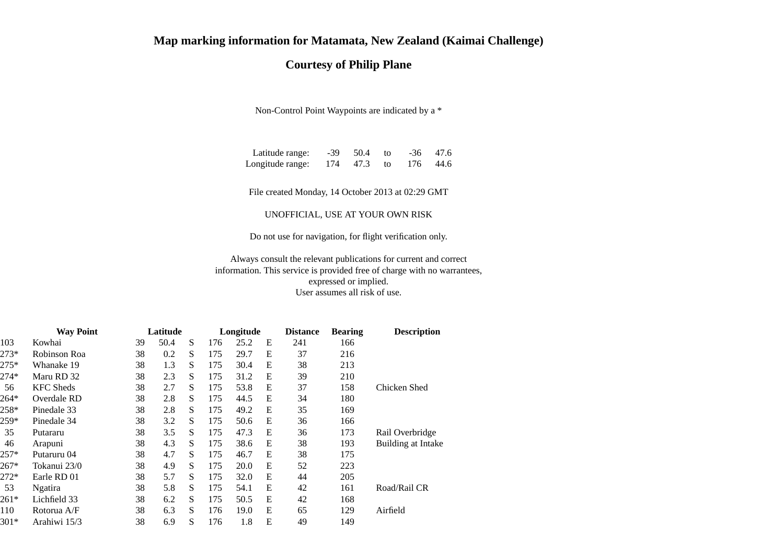## **Map marking information for Matamata, New Zealand (Kaimai Challenge)**

## **Courtesy of Philip Plane**

Non-Control Point Waypoints are indicated by a \*

| Latitude range:  |     | $-39$ 50.4 to |  | $-36$ 47.6 |
|------------------|-----|---------------|--|------------|
| Longitude range: | 174 | 47.3 to       |  | 176 44.6   |

File created Monday, 14 October 2013 at 02:29 GMT

## UNOFFICIAL, USE AT YOUR OWN RISK

Do not use for navigation, for flight verification only.

Always consult the relevant publications for current and correct information. This service is provided free of charge with no warrantees,expressed or implied.User assumes all risk of use.

|      | <b>Way Point</b> | Latitude |      |   |     | Longitude |   | <b>Distance</b> | <b>Bearing</b> | <b>Description</b> |
|------|------------------|----------|------|---|-----|-----------|---|-----------------|----------------|--------------------|
| 103  | Kowhai           | 39       | 50.4 | S | 176 | 25.2      | E | 241             | 166            |                    |
| 273* | Robinson Roa     | 38       | 0.2  | S | 175 | 29.7      | E | 37              | 216            |                    |
| 275* | Whanake 19       | 38       | 1.3  | S | 175 | 30.4      | E | 38              | 213            |                    |
| 274* | Maru RD 32       | 38       | 2.3  | S | 175 | 31.2      | E | 39              | 210            |                    |
| 56   | <b>KFC</b> Sheds | 38       | 2.7  | S | 175 | 53.8      | E | 37              | 158            | Chicken Shed       |
| 264* | Overdale RD      | 38       | 2.8  | S | 175 | 44.5      | E | 34              | 180            |                    |
| 258* | Pinedale 33      | 38       | 2.8  | S | 175 | 49.2      | E | 35              | 169            |                    |
| 259* | Pinedale 34      | 38       | 3.2  | S | 175 | 50.6      | E | 36              | 166            |                    |
| 35   | Putararu         | 38       | 3.5  | S | 175 | 47.3      | E | 36              | 173            | Rail Overbridge    |
| 46   | Arapuni          | 38       | 4.3  | S | 175 | 38.6      | E | 38              | 193            | Building at Intake |
| 257* | Putaruru 04      | 38       | 4.7  | S | 175 | 46.7      | E | 38              | 175            |                    |
| 267* | Tokanui 23/0     | 38       | 4.9  | S | 175 | 20.0      | E | 52              | 223            |                    |
| 272* | Earle RD 01      | 38       | 5.7  | S | 175 | 32.0      | E | 44              | 205            |                    |
| 53   | <b>Ngatira</b>   | 38       | 5.8  | S | 175 | 54.1      | E | 42              | 161            | Road/Rail CR       |
| 261* | Lichfield 33     | 38       | 6.2  | S | 175 | 50.5      | E | 42              | 168            |                    |
| 110  | Rotorua A/F      | 38       | 6.3  | S | 176 | 19.0      | E | 65              | 129            | Airfield           |
| 301* | Arahiwi 15/3     | 38       | 6.9  | S | 176 | 1.8       | E | 49              | 149            |                    |
|      |                  |          |      |   |     |           |   |                 |                |                    |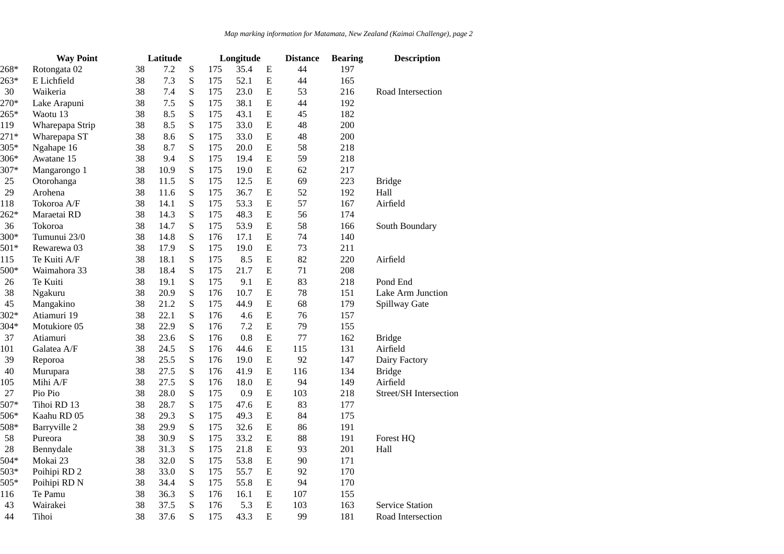|        | <b>Way Point</b>        |    | Latitude |           |     | Longitude |                | <b>Distance</b> | <b>Bearing</b> | <b>Description</b>     |  |
|--------|-------------------------|----|----------|-----------|-----|-----------|----------------|-----------------|----------------|------------------------|--|
| $268*$ | Rotongata 02            | 38 | 7.2      | S         | 175 | 35.4      | ${\bf E}$      | 44              | 197            |                        |  |
| 263*   | E Lichfield             | 38 | 7.3      | ${\bf S}$ | 175 | 52.1      | ${\bf E}$      | 44              | 165            |                        |  |
| 30     | Waikeria                | 38 | 7.4      | ${\bf S}$ | 175 | 23.0      | ${\bf E}$      | 53              | 216            | Road Intersection      |  |
| 270*   | Lake Arapuni            | 38 | 7.5      | S         | 175 | 38.1      | ${\bf E}$      | 44              | 192            |                        |  |
| $265*$ | Waotu 13                | 38 | 8.5      | S         | 175 | 43.1      | $\mathbf E$    | 45              | 182            |                        |  |
| 119    | Wharepapa Strip         | 38 | 8.5      | ${\bf S}$ | 175 | 33.0      | ${\bf E}$      | 48              | 200            |                        |  |
| $271*$ | Wharepapa ST            | 38 | 8.6      | S         | 175 | 33.0      | E              | 48              | 200            |                        |  |
| $305*$ | Ngahape 16              | 38 | 8.7      | ${\bf S}$ | 175 | 20.0      | ${\bf E}$      | 58              | 218            |                        |  |
| $306*$ | Awatane 15              | 38 | 9.4      | S         | 175 | 19.4      | ${\bf E}$      | 59              | 218            |                        |  |
| $307*$ | Mangarongo 1            | 38 | 10.9     | S         | 175 | 19.0      | ${\bf E}$      | 62              | 217            |                        |  |
| 25     | Otorohanga              | 38 | 11.5     | ${\bf S}$ | 175 | 12.5      | ${\bf E}$      | 69              | 223            | <b>Bridge</b>          |  |
| 29     | Arohena                 | 38 | 11.6     | S         | 175 | 36.7      | ${\bf E}$      | 52              | 192            | Hall                   |  |
| 118    | Tokoroa A/F             | 38 | 14.1     | ${\bf S}$ | 175 | 53.3      | ${\bf E}$      | 57              | 167            | Airfield               |  |
| $262*$ | Maraetai RD             | 38 | 14.3     | S         | 175 | 48.3      | ${\bf E}$      | 56              | 174            |                        |  |
| 36     | Tokoroa                 | 38 | 14.7     | ${\bf S}$ | 175 | 53.9      | ${\bf E}$      | 58              | 166            | South Boundary         |  |
| $300*$ | Tumunui 23/0            | 38 | 14.8     | S         | 176 | 17.1      | ${\bf E}$      | 74              | 140            |                        |  |
| $501*$ | Rewarewa 03             | 38 | 17.9     | S         | 175 | 19.0      | $\mathbf E$    | 73              | 211            |                        |  |
| 115    | Te Kuiti A/F            | 38 | 18.1     | ${\bf S}$ | 175 | 8.5       | ${\bf E}$      | 82              | 220            | Airfield               |  |
| 500*   | Waimahora 33            | 38 | 18.4     | S         | 175 | 21.7      | ${\bf E}$      | 71              | 208            |                        |  |
| 26     | Te Kuiti                | 38 | 19.1     | ${\bf S}$ | 175 | 9.1       | E              | 83              | 218            | Pond End               |  |
| 38     | Ngakuru                 | 38 | 20.9     | S         | 176 | 10.7      | ${\bf E}$      | 78              | 151            | Lake Arm Junction      |  |
| 45     | Mangakino               | 38 | 21.2     | S         | 175 | 44.9      | ${\bf E}$      | 68              | 179            | Spillway Gate          |  |
| $302*$ | Atiamuri 19             | 38 | 22.1     | ${\bf S}$ | 176 | 4.6       | ${\bf E}$      | 76              | 157            |                        |  |
| $304*$ | Motukiore 05            | 38 | 22.9     | ${\bf S}$ | 176 | 7.2       | ${\bf E}$      | 79              | 155            |                        |  |
| 37     | Atiamuri                | 38 | 23.6     | ${\bf S}$ | 176 | 0.8       | $\overline{E}$ | 77              | 162            | <b>Bridge</b>          |  |
| 101    | Galatea A/F             | 38 | 24.5     | ${\bf S}$ | 176 | 44.6      | ${\bf E}$      | 115             | 131            | Airfield               |  |
| 39     | Reporoa                 | 38 | 25.5     | S         | 176 | 19.0      | ${\bf E}$      | 92              | 147            | Dairy Factory          |  |
| 40     | Murupara                | 38 | 27.5     | S         | 176 | 41.9      | E              | 116             | 134            | <b>Bridge</b>          |  |
| 105    | Mihi A/F                | 38 | 27.5     | S         | 176 | 18.0      | ${\bf E}$      | 94              | 149            | Airfield               |  |
| 27     | Pio Pio                 | 38 | 28.0     | S         | 175 | 0.9       | ${\bf E}$      | 103             | 218            | Street/SH Intersection |  |
| $507*$ | Tihoi RD 13             | 38 | 28.7     | S         | 175 | 47.6      | ${\bf E}$      | 83              | 177            |                        |  |
| 506*   | Kaahu RD 05             | 38 | 29.3     | S         | 175 | 49.3      | ${\bf E}$      | 84              | 175            |                        |  |
| $508*$ | Barryville 2            | 38 | 29.9     | ${\bf S}$ | 175 | 32.6      | ${\bf E}$      | 86              | 191            |                        |  |
| 58     | Pureora                 | 38 | 30.9     | ${\bf S}$ | 175 | 33.2      | ${\bf E}$      | 88              | 191            | Forest HQ              |  |
| 28     | Bennydale               | 38 | 31.3     | ${\bf S}$ | 175 | 21.8      | E              | 93              | 201            | Hall                   |  |
| 504*   | Mokai 23                | 38 | 32.0     | S         | 175 | 53.8      | ${\bf E}$      | 90              | 171            |                        |  |
| 503*   | Poihipi RD <sub>2</sub> | 38 | 33.0     | ${\bf S}$ | 175 | 55.7      | ${\bf E}$      | 92              | 170            |                        |  |
| $505*$ | Poihipi RD N            | 38 | 34.4     | ${\bf S}$ | 175 | 55.8      | ${\bf E}$      | 94              | 170            |                        |  |
| 116    | Te Pamu                 | 38 | 36.3     | S         | 176 | 16.1      | ${\bf E}$      | 107             | 155            |                        |  |
| 43     | Wairakei                | 38 | 37.5     | S         | 176 | 5.3       | E              | 103             | 163            | <b>Service Station</b> |  |
| 44     | Tihoi                   | 38 | 37.6     | S         | 175 | 43.3      | E              | 99              | 181            | Road Intersection      |  |
|        |                         |    |          |           |     |           |                |                 |                |                        |  |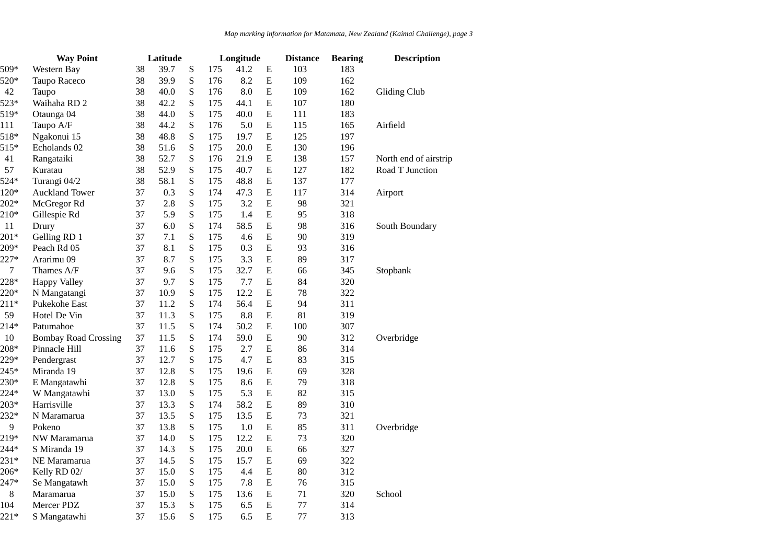|        | <b>Way Point</b>            |    | Latitude |           |     | Longitude |             | <b>Distance</b> | <b>Bearing</b> | <b>Description</b>    |  |
|--------|-----------------------------|----|----------|-----------|-----|-----------|-------------|-----------------|----------------|-----------------------|--|
| 509*   | Western Bay                 | 38 | 39.7     | ${\bf S}$ | 175 | 41.2      | E           | 103             | 183            |                       |  |
| 520*   | Taupo Raceco                | 38 | 39.9     | ${\bf S}$ | 176 | 8.2       | E           | 109             | 162            |                       |  |
| 42     | Taupo                       | 38 | 40.0     | ${\bf S}$ | 176 | 8.0       | ${\bf E}$   | 109             | 162            | Gliding Club          |  |
| 523*   | Waihaha RD 2                | 38 | 42.2     | ${\bf S}$ | 175 | 44.1      | ${\bf E}$   | 107             | 180            |                       |  |
| 519*   | Otaunga 04                  | 38 | 44.0     | S         | 175 | 40.0      | $\mathbf E$ | 111             | 183            |                       |  |
| 111    | Taupo A/F                   | 38 | 44.2     | ${\bf S}$ | 176 | 5.0       | E           | 115             | 165            | Airfield              |  |
| 518*   | Ngakonui 15                 | 38 | 48.8     | ${\bf S}$ | 175 | 19.7      | ${\bf E}$   | 125             | 197            |                       |  |
| $515*$ | Echolands 02                | 38 | 51.6     | ${\bf S}$ | 175 | 20.0      | $\mathbf E$ | 130             | 196            |                       |  |
| 41     | Rangataiki                  | 38 | 52.7     | ${\bf S}$ | 176 | 21.9      | ${\bf E}$   | 138             | 157            | North end of airstrip |  |
| 57     | Kuratau                     | 38 | 52.9     | ${\bf S}$ | 175 | 40.7      | ${\bf E}$   | 127             | 182            | Road T Junction       |  |
| $524*$ | Turangi 04/2                | 38 | 58.1     | ${\bf S}$ | 175 | 48.8      | ${\bf E}$   | 137             | 177            |                       |  |
| 120*   | <b>Auckland Tower</b>       | 37 | 0.3      | ${\bf S}$ | 174 | 47.3      | ${\bf E}$   | 117             | 314            | Airport               |  |
| $202*$ | McGregor Rd                 | 37 | 2.8      | ${\bf S}$ | 175 | 3.2       | ${\bf E}$   | 98              | 321            |                       |  |
| $210*$ | Gillespie Rd                | 37 | 5.9      | ${\bf S}$ | 175 | 1.4       | ${\bf E}$   | 95              | 318            |                       |  |
| 11     | Drury                       | 37 | 6.0      | ${\bf S}$ | 174 | 58.5      | ${\bf E}$   | 98              | 316            | South Boundary        |  |
| $201*$ | Gelling RD 1                | 37 | 7.1      | ${\bf S}$ | 175 | 4.6       | ${\bf E}$   | 90              | 319            |                       |  |
| 209*   | Peach Rd 05                 | 37 | 8.1      | ${\bf S}$ | 175 | 0.3       | $\mathbf E$ | 93              | 316            |                       |  |
| $227*$ | Ararimu 09                  | 37 | 8.7      | ${\bf S}$ | 175 | 3.3       | ${\bf E}$   | 89              | 317            |                       |  |
| 7      | Thames A/F                  | 37 | 9.6      | ${\bf S}$ | 175 | 32.7      | ${\bf E}$   | 66              | 345            | Stopbank              |  |
| $228*$ | <b>Happy Valley</b>         | 37 | 9.7      | ${\bf S}$ | 175 | 7.7       | ${\bf E}$   | 84              | 320            |                       |  |
| 220*   | N Mangatangi                | 37 | 10.9     | ${\bf S}$ | 175 | 12.2      | ${\bf E}$   | 78              | 322            |                       |  |
| $211*$ | Pukekohe East               | 37 | 11.2     | ${\bf S}$ | 174 | 56.4      | ${\bf E}$   | 94              | 311            |                       |  |
| 59     | Hotel De Vin                | 37 | 11.3     | ${\bf S}$ | 175 | 8.8       | ${\bf E}$   | 81              | 319            |                       |  |
| $214*$ | Patumahoe                   | 37 | 11.5     | ${\bf S}$ | 174 | 50.2      | ${\bf E}$   | 100             | 307            |                       |  |
| 10     | <b>Bombay Road Crossing</b> | 37 | 11.5     | ${\bf S}$ | 174 | 59.0      | ${\bf E}$   | 90              | 312            | Overbridge            |  |
| $208*$ | Pinnacle Hill               | 37 | 11.6     | ${\bf S}$ | 175 | 2.7       | ${\bf E}$   | 86              | 314            |                       |  |
| 229*   | Pendergrast                 | 37 | 12.7     | ${\bf S}$ | 175 | 4.7       | ${\bf E}$   | 83              | 315            |                       |  |
| 245*   | Miranda 19                  | 37 | 12.8     | ${\bf S}$ | 175 | 19.6      | ${\bf E}$   | 69              | 328            |                       |  |
| 230*   | E Mangatawhi                | 37 | 12.8     | ${\bf S}$ | 175 | 8.6       | E           | 79              | 318            |                       |  |
| $224*$ | W Mangatawhi                | 37 | 13.0     | ${\bf S}$ | 175 | 5.3       | ${\bf E}$   | 82              | 315            |                       |  |
| $203*$ | Harrisville                 | 37 | 13.3     | ${\bf S}$ | 174 | 58.2      | ${\bf E}$   | 89              | 310            |                       |  |
| $232*$ | N Maramarua                 | 37 | 13.5     | ${\bf S}$ | 175 | 13.5      | ${\bf E}$   | 73              | 321            |                       |  |
| 9      | Pokeno                      | 37 | 13.8     | ${\bf S}$ | 175 | 1.0       | ${\bf E}$   | 85              | 311            | Overbridge            |  |
| 219*   | NW Maramarua                | 37 | 14.0     | ${\bf S}$ | 175 | 12.2      | ${\bf E}$   | 73              | 320            |                       |  |
| 244*   | S Miranda 19                | 37 | 14.3     | ${\bf S}$ | 175 | 20.0      | $\mathbf E$ | 66              | 327            |                       |  |
| $231*$ | NE Maramarua                | 37 | 14.5     | ${\bf S}$ | 175 | 15.7      | ${\bf E}$   | 69              | 322            |                       |  |
| 206*   | Kelly RD 02/                | 37 | 15.0     | ${\bf S}$ | 175 | 4.4       | ${\bf E}$   | 80              | 312            |                       |  |
| 247*   | Se Mangatawh                | 37 | 15.0     | ${\bf S}$ | 175 | 7.8       | ${\bf E}$   | 76              | 315            |                       |  |
| 8      | Maramarua                   | 37 | 15.0     | ${\bf S}$ | 175 | 13.6      | ${\bf E}$   | 71              | 320            | School                |  |
| 104    | Mercer PDZ                  | 37 | 15.3     | S         | 175 | 6.5       | $\mathbf E$ | 77              | 314            |                       |  |
| $221*$ | S Mangatawhi                | 37 | 15.6     | ${\bf S}$ | 175 | 6.5       | ${\bf E}$   | 77              | 313            |                       |  |
|        |                             |    |          |           |     |           |             |                 |                |                       |  |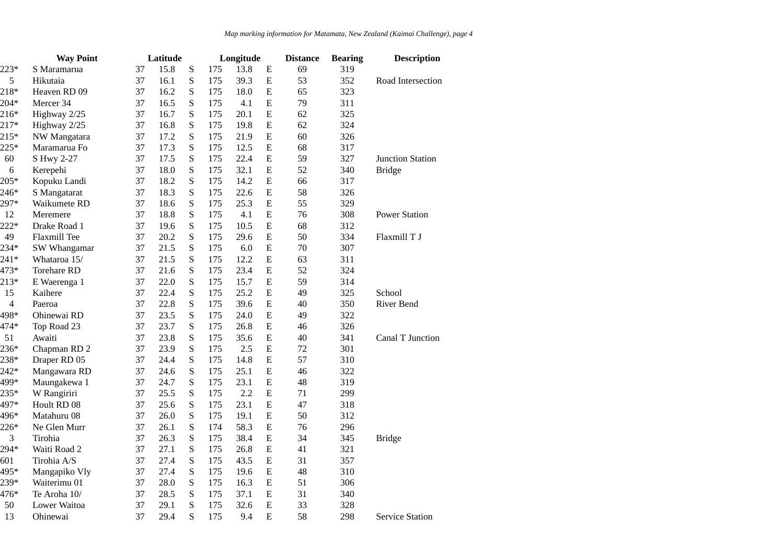|                | <b>Way Point</b>        |    | Latitude | Longitude   |     | <b>Distance</b> | <b>Bearing</b> | <b>Description</b> |     |                        |
|----------------|-------------------------|----|----------|-------------|-----|-----------------|----------------|--------------------|-----|------------------------|
| $223*$         | S Maramarua             | 37 | 15.8     | ${\bf S}$   | 175 | 13.8            | ${\bf E}$      | 69                 | 319 |                        |
| 5              | Hikutaia                | 37 | 16.1     | ${\bf S}$   | 175 | 39.3            | ${\bf E}$      | 53                 | 352 | Road Intersection      |
| 218*           | Heaven RD 09            | 37 | 16.2     | ${\bf S}$   | 175 | 18.0            | ${\bf E}$      | 65                 | 323 |                        |
| $204*$         | Mercer 34               | 37 | 16.5     | ${\bf S}$   | 175 | 4.1             | ${\bf E}$      | 79                 | 311 |                        |
| $216*$         | Highway 2/25            | 37 | 16.7     | ${\bf S}$   | 175 | 20.1            | ${\bf E}$      | 62                 | 325 |                        |
| $217*$         | Highway 2/25            | 37 | 16.8     | ${\bf S}$   | 175 | 19.8            | ${\bf E}$      | 62                 | 324 |                        |
| $215*$         | NW Mangatara            | 37 | 17.2     | $\mathbf S$ | 175 | 21.9            | E              | 60                 | 326 |                        |
| $225*$         | Maramarua Fo            | 37 | 17.3     | $\mathbf S$ | 175 | 12.5            | ${\bf E}$      | 68                 | 317 |                        |
| 60             | S Hwy 2-27              | 37 | 17.5     | ${\bf S}$   | 175 | 22.4            | ${\bf E}$      | 59                 | 327 | Junction Station       |
| 6              | Kerepehi                | 37 | 18.0     | ${\bf S}$   | 175 | 32.1            | ${\bf E}$      | 52                 | 340 | <b>Bridge</b>          |
| $205*$         | Kopuku Landi            | 37 | 18.2     | ${\bf S}$   | 175 | 14.2            | E              | 66                 | 317 |                        |
| 246*           | S Mangatarat            | 37 | 18.3     | ${\bf S}$   | 175 | 22.6            | ${\bf E}$      | 58                 | 326 |                        |
| 297*           | Waikumete RD            | 37 | 18.6     | $\mathbf S$ | 175 | 25.3            | ${\bf E}$      | 55                 | 329 |                        |
| 12             | Meremere                | 37 | 18.8     | ${\bf S}$   | 175 | 4.1             | E              | 76                 | 308 | <b>Power Station</b>   |
| $222*$         | Drake Road 1            | 37 | 19.6     | ${\bf S}$   | 175 | 10.5            | E              | 68                 | 312 |                        |
| 49             | Flaxmill Tee            | 37 | 20.2     | ${\bf S}$   | 175 | 29.6            | ${\bf E}$      | 50                 | 334 | Flaxmill T J           |
| 234*           | SW Whangamar            | 37 | 21.5     | $\mathbf S$ | 175 | 6.0             | $\mathbf E$    | 70                 | 307 |                        |
| $241*$         | Whataroa 15/            | 37 | 21.5     | ${\bf S}$   | 175 | 12.2            | $\mathbf E$    | 63                 | 311 |                        |
| 473*           | Torehare RD             | 37 | 21.6     | ${\bf S}$   | 175 | 23.4            | ${\bf E}$      | 52                 | 324 |                        |
| 213*           | E Waerenga 1            | 37 | 22.0     | ${\bf S}$   | 175 | 15.7            | E              | 59                 | 314 |                        |
| 15             | Kaihere                 | 37 | 22.4     | ${\bf S}$   | 175 | 25.2            | $\mathbf E$    | 49                 | 325 | School                 |
| $\overline{4}$ | Paeroa                  | 37 | 22.8     | ${\bf S}$   | 175 | 39.6            | ${\bf E}$      | 40                 | 350 | River Bend             |
| 498*           | Ohinewai RD             | 37 | 23.5     | ${\bf S}$   | 175 | 24.0            | E              | 49                 | 322 |                        |
| 474*           | Top Road 23             | 37 | 23.7     | ${\bf S}$   | 175 | 26.8            | ${\bf E}$      | 46                 | 326 |                        |
| 51             | Awaiti                  | 37 | 23.8     | ${\bf S}$   | 175 | 35.6            | ${\bf E}$      | 40                 | 341 | Canal T Junction       |
| 236*           | Chapman RD <sub>2</sub> | 37 | 23.9     | ${\bf S}$   | 175 | 2.5             | ${\bf E}$      | 72                 | 301 |                        |
| 238*           | Draper RD 05            | 37 | 24.4     | ${\bf S}$   | 175 | 14.8            | ${\bf E}$      | 57                 | 310 |                        |
| 242*           | Mangawara RD            | 37 | 24.6     | ${\bf S}$   | 175 | 25.1            | ${\bf E}$      | 46                 | 322 |                        |
| 499*           | Maungakewa 1            | 37 | 24.7     | ${\bf S}$   | 175 | 23.1            | ${\bf E}$      | 48                 | 319 |                        |
| 235*           | W Rangiriri             | 37 | 25.5     | ${\bf S}$   | 175 | 2.2             | $\mathbf E$    | 71                 | 299 |                        |
| 497*           | Hoult RD 08             | 37 | 25.6     | ${\bf S}$   | 175 | 23.1            | E              | 47                 | 318 |                        |
| 496*           | Matahuru 08             | 37 | 26.0     | ${\bf S}$   | 175 | 19.1            | E              | 50                 | 312 |                        |
| $226*$         | Ne Glen Murr            | 37 | 26.1     | ${\bf S}$   | 174 | 58.3            | ${\bf E}$      | 76                 | 296 |                        |
| 3              | Tirohia                 | 37 | 26.3     | ${\bf S}$   | 175 | 38.4            | ${\bf E}$      | 34                 | 345 | <b>Bridge</b>          |
| 294*           | Waiti Road 2            | 37 | 27.1     | ${\bf S}$   | 175 | 26.8            | $\mathbf E$    | 41                 | 321 |                        |
| 601            | Tirohia A/S             | 37 | 27.4     | ${\bf S}$   | 175 | 43.5            | E              | 31                 | 357 |                        |
| 495*           | Mangapiko Vly           | 37 | 27.4     | ${\bf S}$   | 175 | 19.6            | ${\bf E}$      | 48                 | 310 |                        |
| 239*           | Waiterimu 01            | 37 | 28.0     | ${\bf S}$   | 175 | 16.3            | ${\bf E}$      | 51                 | 306 |                        |
| 476*           | Te Aroha 10/            | 37 | 28.5     | ${\bf S}$   | 175 | 37.1            | ${\bf E}$      | 31                 | 340 |                        |
| 50             | Lower Waitoa            | 37 | 29.1     | ${\bf S}$   | 175 | 32.6            | ${\bf E}$      | 33                 | 328 |                        |
| 13             | Ohinewai                | 37 | 29.4     | S           | 175 | 9.4             | ${\bf E}$      | 58                 | 298 | <b>Service Station</b> |
|                |                         |    |          |             |     |                 |                |                    |     |                        |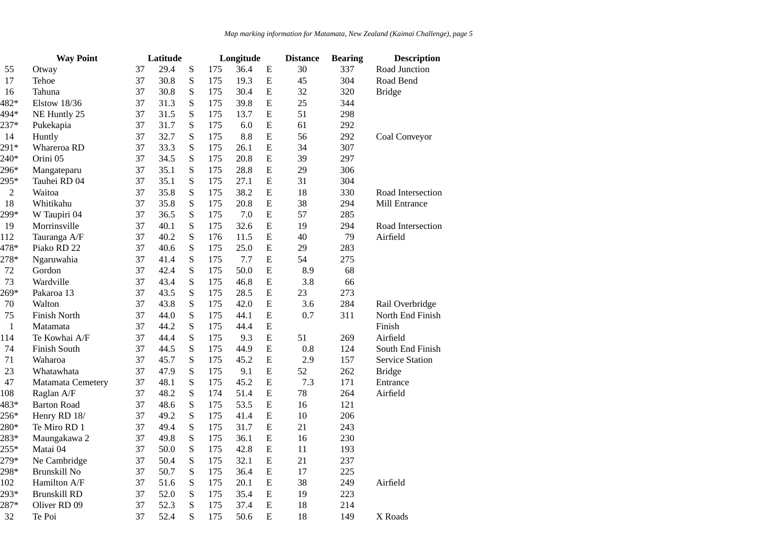|              | <b>Way Point</b>    |    | Latitude |           |     | Longitude |           | <b>Distance</b> | <b>Bearing</b> | <b>Description</b>     |  |
|--------------|---------------------|----|----------|-----------|-----|-----------|-----------|-----------------|----------------|------------------------|--|
| 55           | Otway               | 37 | 29.4     | S         | 175 | 36.4      | E         | 30              | 337            | Road Junction          |  |
| 17           | Tehoe               | 37 | 30.8     | S         | 175 | 19.3      | E         | 45              | 304            | Road Bend              |  |
| 16           | Tahuna              | 37 | 30.8     | S         | 175 | 30.4      | E         | 32              | 320            | <b>Bridge</b>          |  |
| 482*         | Elstow 18/36        | 37 | 31.3     | S         | 175 | 39.8      | Ε         | 25              | 344            |                        |  |
| 494*         | NE Huntly 25        | 37 | 31.5     | S         | 175 | 13.7      | E         | 51              | 298            |                        |  |
| 237*         | Pukekapia           | 37 | 31.7     | S         | 175 | 6.0       | ${\bf E}$ | 61              | 292            |                        |  |
| 14           | Huntly              | 37 | 32.7     | S         | 175 | 8.8       | E         | 56              | 292            | Coal Conveyor          |  |
| 291*         | Whareroa RD         | 37 | 33.3     | S         | 175 | 26.1      | ${\bf E}$ | 34              | 307            |                        |  |
| 240*         | Orini 05            | 37 | 34.5     | S         | 175 | 20.8      | E         | 39              | 297            |                        |  |
| 296*         | Mangateparu         | 37 | 35.1     | S         | 175 | 28.8      | E         | 29              | 306            |                        |  |
| 295*         | Tauhei RD 04        | 37 | 35.1     | S         | 175 | 27.1      | ${\bf E}$ | 31              | 304            |                        |  |
| 2            | Waitoa              | 37 | 35.8     | S         | 175 | 38.2      | E         | 18              | 330            | Road Intersection      |  |
| 18           | Whitikahu           | 37 | 35.8     | S         | 175 | 20.8      | E         | 38              | 294            | <b>Mill Entrance</b>   |  |
| 299*         | W Taupiri 04        | 37 | 36.5     | S         | 175 | 7.0       | Ε         | 57              | 285            |                        |  |
| 19           | Morrinsville        | 37 | 40.1     | S         | 175 | 32.6      | E         | 19              | 294            | Road Intersection      |  |
| 112          | Tauranga A/F        | 37 | 40.2     | S         | 176 | 11.5      | E         | 40              | 79             | Airfield               |  |
| 478*         | Piako RD 22         | 37 | 40.6     | S         | 175 | 25.0      | E         | 29              | 283            |                        |  |
| 278*         | Ngaruwahia          | 37 | 41.4     | S         | 175 | 7.7       | E         | 54              | 275            |                        |  |
| $72\,$       | Gordon              | 37 | 42.4     | ${\bf S}$ | 175 | 50.0      | ${\bf E}$ | 8.9             | 68             |                        |  |
| 73           | Wardville           | 37 | 43.4     | S         | 175 | 46.8      | E         | 3.8             | 66             |                        |  |
| $269*$       | Pakaroa 13          | 37 | 43.5     | S         | 175 | 28.5      | ${\bf E}$ | 23              | 273            |                        |  |
| 70           | Walton              | 37 | 43.8     | S         | 175 | 42.0      | E         | 3.6             | 284            | Rail Overbridge        |  |
| 75           | <b>Finish North</b> | 37 | 44.0     | S         | 175 | 44.1      | E         | 0.7             | 311            | North End Finish       |  |
| $\mathbf{1}$ | Matamata            | 37 | 44.2     | S         | 175 | 44.4      | E         |                 |                | Finish                 |  |
| 114          | Te Kowhai A/F       | 37 | 44.4     | S         | 175 | 9.3       | ${\bf E}$ | 51              | 269            | Airfield               |  |
| 74           | Finish South        | 37 | 44.5     | S         | 175 | 44.9      | ${\bf E}$ | 0.8             | 124            | South End Finish       |  |
| 71           | Waharoa             | 37 | 45.7     | S         | 175 | 45.2      | E         | 2.9             | 157            | <b>Service Station</b> |  |
| 23           | Whatawhata          | 37 | 47.9     | S         | 175 | 9.1       | E         | 52              | 262            | <b>Bridge</b>          |  |
| 47           | Matamata Cemetery   | 37 | 48.1     | S         | 175 | 45.2      | E         | 7.3             | 171            | Entrance               |  |
| 108          | Raglan A/F          | 37 | 48.2     | S         | 174 | 51.4      | E         | 78              | 264            | Airfield               |  |
| 483*         | <b>Barton Road</b>  | 37 | 48.6     | S         | 175 | 53.5      | ${\bf E}$ | 16              | 121            |                        |  |
| 256*         | Henry RD 18/        | 37 | 49.2     | S         | 175 | 41.4      | E         | 10              | 206            |                        |  |
| 280*         | Te Miro RD 1        | 37 | 49.4     | S         | 175 | 31.7      | E         | 21              | 243            |                        |  |
| 283*         | Maungakawa 2        | 37 | 49.8     | S         | 175 | 36.1      | E         | 16              | 230            |                        |  |
| $255*$       | Matai 04            | 37 | 50.0     | S         | 175 | 42.8      | E         | 11              | 193            |                        |  |
| 279*         | Ne Cambridge        | 37 | 50.4     | S         | 175 | 32.1      | ${\bf E}$ | 21              | 237            |                        |  |
| 298*         | Brunskill No        | 37 | 50.7     | S         | 175 | 36.4      | E         | 17              | 225            |                        |  |
| 102          | Hamilton A/F        | 37 | 51.6     | S         | 175 | 20.1      | E         | 38              | 249            | Airfield               |  |
| 293*         | <b>Brunskill RD</b> | 37 | 52.0     | S         | 175 | 35.4      | ${\bf E}$ | 19              | 223            |                        |  |
| 287*         | Oliver RD 09        | 37 | 52.3     | S         | 175 | 37.4      | E         | 18              | 214            |                        |  |
| 32           | Te Poi              | 37 | 52.4     | S         | 175 | 50.6      | E         | 18              | 149            | X Roads                |  |
|              |                     |    |          |           |     |           |           |                 |                |                        |  |